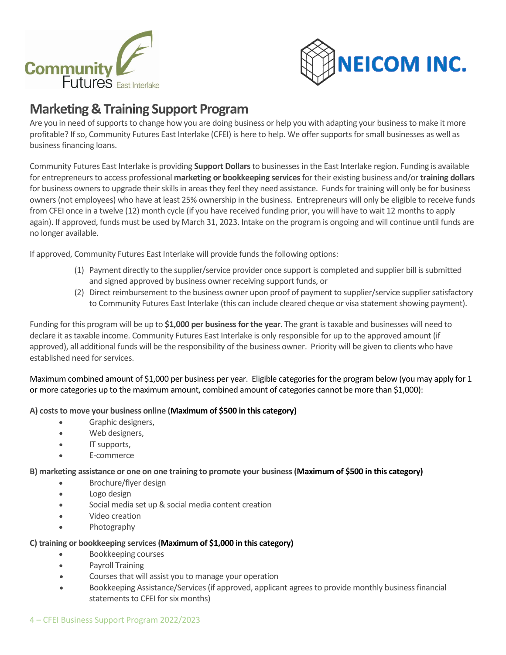



# **Marketing & Training Support Program**

Are you in need of supports to change how you are doing business or help you with adapting your business to make it more profitable? If so, Community Futures East Interlake (CFEI) is here to help. We offer supports for small businesses as well as business financing loans.

Community Futures East Interlake is providing **Support Dollars**to businesses in the East Interlake region. Funding is available for entrepreneurs to access professional **marketing or bookkeeping services**for their existing business and/or **training dollars** for business owners to upgrade their skills in areas they feel they need assistance. Funds for training will only be for business owners(not employees) who have at least 25% ownership in the business. Entrepreneurs will only be eligible to receive funds from CFEI once in a twelve (12) month cycle (if you have received funding prior, you will have to wait 12 months to apply again). If approved, funds must be used by March 31, 2023. Intake on the program is ongoing and will continue until funds are no longer available.

If approved, Community Futures East Interlake will provide funds the following options:

- (1) Payment directly to the supplier/service provider once support is completed and supplier bill is submitted and signed approved by business owner receiving support funds, or
- (2) Direct reimbursement to the business owner upon proof of payment to supplier/service supplier satisfactory to Community Futures East Interlake (this can include cleared cheque or visa statement showing payment).

Funding for this program will be up to \$1,000 per business for the year. The grant is taxable and businesses will need to declare it as taxable income. Community Futures East Interlake is only responsible for up to the approved amount (if approved), all additional funds will be the responsibility of the business owner. Priority will be given to clients who have established need for services.

Maximum combined amount of \$1,000 per business per year. Eligible categories for the program below (you may apply for 1 or more categories up to the maximum amount, combined amount of categories cannot be more than \$1,000):

### **A) costs to move your business online (Maximum of \$500 in this category)**

- Graphic designers,
- Web designers,
- IT supports,
- E-commerce

### **B) marketing assistance or one on one training to promote your business(Maximum of \$500 in this category)**

- Brochure/flyer design
- Logo design
- Social media set up & social media content creation
- Video creation
- Photography

### **C) training or bookkeeping services(Maximum of \$1,000 in this category)**

- Bookkeeping courses
- Payroll Training
- Courses that will assist you to manage your operation
- Bookkeeping Assistance/Services (if approved, applicant agrees to provide monthly business financial statements to CFEI for six months)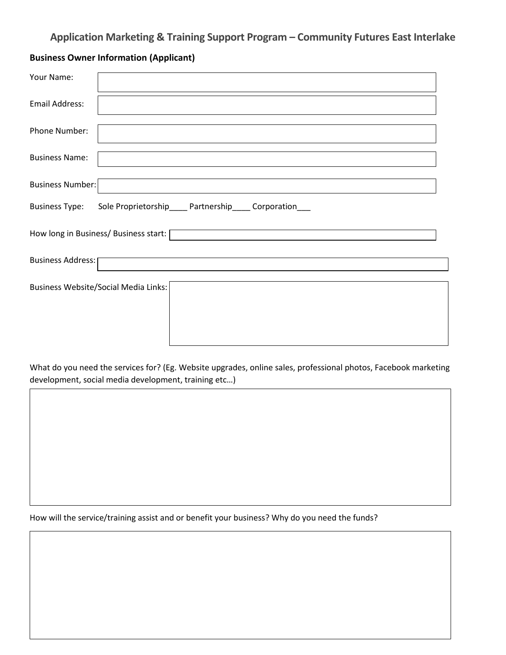# **Application Marketing & Training Support Program – Community Futures East Interlake**

## **Business Owner Information (Applicant)**

| Your Name:                                                                         |  |  |  |  |  |
|------------------------------------------------------------------------------------|--|--|--|--|--|
| Email Address:                                                                     |  |  |  |  |  |
| Phone Number:                                                                      |  |  |  |  |  |
| <b>Business Name:</b>                                                              |  |  |  |  |  |
| <b>Business Number:</b>                                                            |  |  |  |  |  |
| <b>Business Type:</b><br>Sole Proprietorship_____ Partnership_____ Corporation____ |  |  |  |  |  |
| How long in Business/ Business start: [                                            |  |  |  |  |  |
| <b>Business Address:</b>                                                           |  |  |  |  |  |
| <b>Business Website/Social Media Links:</b>                                        |  |  |  |  |  |
|                                                                                    |  |  |  |  |  |
|                                                                                    |  |  |  |  |  |

What do you need the services for? (Eg. Website upgrades, online sales, professional photos, Facebook marketing development, social media development, training etc…) w.sherrybensonpodolchuk.com

How will the service/training assist and or benefit your business? Why do you need the funds?

4 – CFEI Business Support Program 2022/2023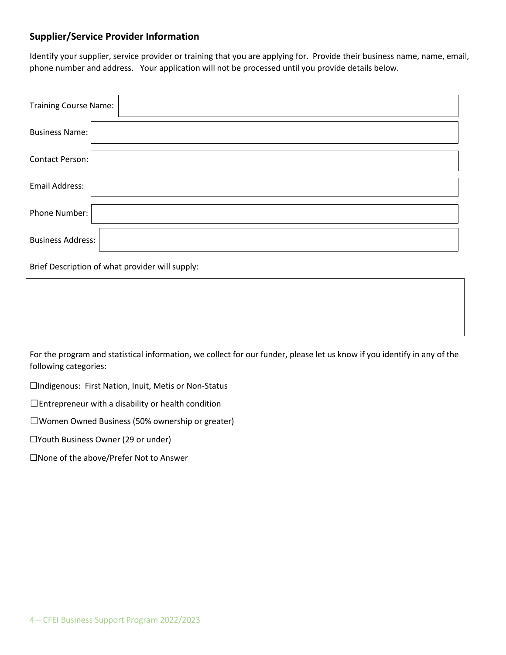### **Supplier/Service Provider Information**

Identify your supplier, service provider or training that you are applying for. Provide their business name, name, email, phone number and address. Your application will not be processed until you provide details below.

| <b>Training Course Name:</b> |  |
|------------------------------|--|
| <b>Business Name:</b>        |  |
| Contact Person:              |  |
| <b>Email Address:</b>        |  |
| Phone Number:                |  |
| <b>Business Address:</b>     |  |

Brief Description of what provider will supply:

For the program and statistical information, we collect for our funder, please let us know if you identify in any of the following categories:

☐Indigenous: First Nation, Inuit, Metis or Non-Status

 $\Box$ Entrepreneur with a disability or health condition

☐Women Owned Business (50% ownership or greater)

☐Youth Business Owner (29 or under)

☐None of the above/Prefer Not to Answer